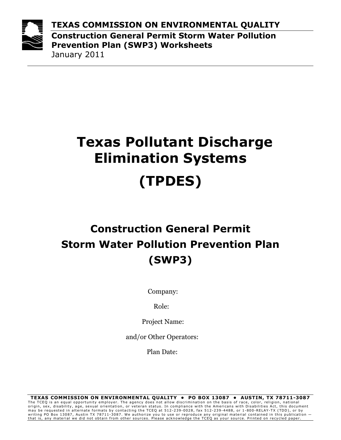

TEXAS COMMISSION ON ENVIRONMENTAL QUALITY Construction General Permit Storm Water Pollution Prevention Plan (SWP3) Worksheets January 2011

# Texas Pollutant Discharge Elimination Systems (TPDES)

## Construction General Permit Storm Water Pollution Prevention Plan (SWP3)

Company:

Role:

Project Name:

and/or Other Operators:

Plan Date: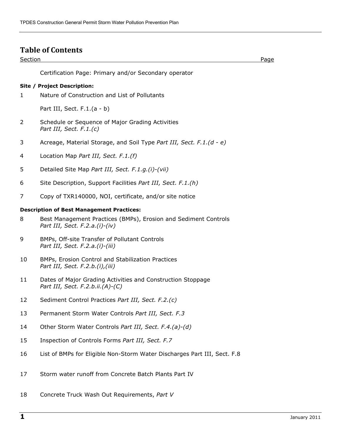#### Table of Contents

#### Section Page

Certification Page: Primary and/or Secondary operator

#### Site / Project Description:

1 Nature of Construction and List of Pollutants

Part III, Sect. F.1.(a - b)

- 2 Schedule or Sequence of Major Grading Activities Part III, Sect. F.1.(c)
- 3 Acreage, Material Storage, and Soil Type Part III, Sect. F.1.(d e)
- 4 Location Map Part III, Sect. F.1.(f)
- 5 Detailed Site Map Part III, Sect. F.1.g.(i)-(vii)
- 6 Site Description, Support Facilities Part III, Sect. F.1.(h)
- 7 Copy of TXR140000, NOI, certificate, and/or site notice

#### Description of Best Management Practices:

- 8 Best Management Practices (BMPs), Erosion and Sediment Controls Part III, Sect. F.2.a.(i)-(iv)
- 9 BMPs, Off-site Transfer of Pollutant Controls Part III, Sect. F.2.a.(i)-(iii)
- 10 BMPs, Erosion Control and Stabilization Practices Part III, Sect. F.2.b.(i),(iii)
- 11 Dates of Major Grading Activities and Construction Stoppage Part III, Sect. F.2.b.ii.(A)-(C)
- 12 Sediment Control Practices Part III, Sect. F.2.(c)
- 13 Permanent Storm Water Controls Part III, Sect. F.3
- 14 Other Storm Water Controls Part III, Sect. F.4.(a)-(d)
- 15 Inspection of Controls Forms Part III, Sect. F.7
- 16 List of BMPs for Eligible Non-Storm Water Discharges Part III, Sect. F.8
- 17 Storm water runoff from Concrete Batch Plants Part IV
- 18 Concrete Truck Wash Out Requirements, Part V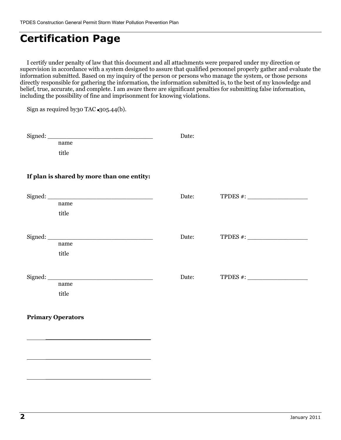\_\_\_\_\_\_\_\_\_\_\_\_\_\_\_\_\_\_\_\_\_\_\_\_\_\_\_\_

\_\_\_\_\_\_\_\_\_\_\_\_\_\_\_\_\_\_\_\_\_\_\_\_\_\_\_\_

 $\overline{\phantom{a}}$  , where  $\overline{\phantom{a}}$  , where  $\overline{\phantom{a}}$  , where  $\overline{\phantom{a}}$  ,  $\overline{\phantom{a}}$  ,  $\overline{\phantom{a}}$  ,  $\overline{\phantom{a}}$  ,  $\overline{\phantom{a}}$  ,  $\overline{\phantom{a}}$  ,  $\overline{\phantom{a}}$  ,  $\overline{\phantom{a}}$  ,  $\overline{\phantom{a}}$  ,  $\overline{\phantom{a}}$  ,  $\overline{\phantom{a}}$  ,  $\overline{\phantom$ 

## Certification Page

I certify under penalty of law that this document and all attachments were prepared under my direction or supervision in accordance with a system designed to assure that qualified personnel properly gather and evaluate the information submitted. Based on my inquiry of the person or persons who manage the system, or those persons directly responsible for gathering the information, the information submitted is, to the best of my knowledge and belief, true, accurate, and complete. I am aware there are significant penalties for submitting false information, including the possibility of fine and imprisonment for knowing violations.

Sign as required by 30 TAC  $\bullet$  305.44(b). Signed: \_\_\_\_\_\_\_\_\_\_\_\_\_\_\_\_\_\_\_\_\_\_\_\_\_\_\_\_ Date: name title If plan is shared by more than one entity: Signed: \_\_\_\_\_\_\_\_\_\_\_\_\_\_\_\_\_\_\_\_\_\_\_\_\_\_\_\_ Date: TPDES #: \_\_\_\_\_\_\_\_\_\_\_\_\_\_\_\_ name title Signed: \_\_\_\_\_\_\_\_\_\_\_\_\_\_\_\_\_\_\_\_\_\_\_\_\_\_\_\_ Date: TPDES #: \_\_\_\_\_\_\_\_\_\_\_\_\_\_\_\_ name title  $\text{Signed:}$   $\Box$ name title Primary Operators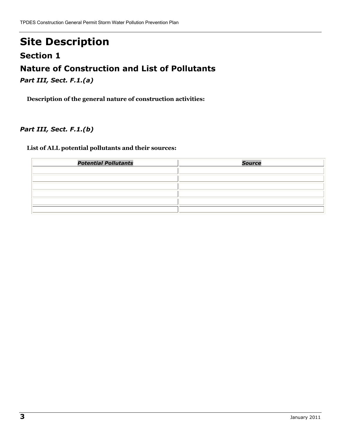## Site Description

#### Section 1

## Nature of Construction and List of Pollutants

Part III, Sect. F.1.(a)

Description of the general nature of construction activities:

#### Part III, Sect. F.1.(b)

#### List of ALL potential pollutants and their sources:

| <b>Potential Pollutants</b> | <b>Source</b> |
|-----------------------------|---------------|
|                             |               |
|                             |               |
|                             |               |
|                             |               |
|                             |               |
|                             |               |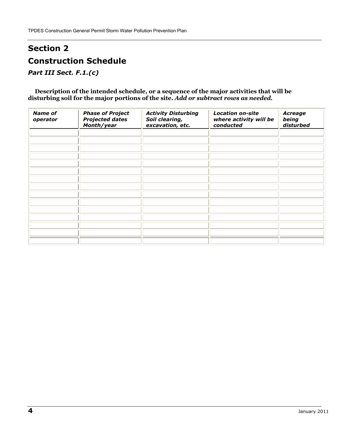## Section 2 Construction Schedule

Part III Sect. F.1.(c)

Description of the intended schedule, or a sequence of the major activities that will be disturbing soil for the major portions of the site. Add or subtract rows as needed.

| <b>Name of</b><br>operator | <b>Phase of Project</b><br><b>Projected dates</b><br>Month/year | <b>Activity Disturbing</b><br>Soil clearing,<br>excavation, etc. | <b>Location on-site</b><br>where activity will be<br>conducted | Acreage<br>being<br>disturbed |
|----------------------------|-----------------------------------------------------------------|------------------------------------------------------------------|----------------------------------------------------------------|-------------------------------|
|                            |                                                                 |                                                                  |                                                                |                               |
|                            |                                                                 |                                                                  |                                                                |                               |
|                            |                                                                 |                                                                  |                                                                |                               |
|                            |                                                                 |                                                                  |                                                                |                               |
|                            |                                                                 |                                                                  |                                                                |                               |
|                            |                                                                 |                                                                  |                                                                |                               |
|                            |                                                                 |                                                                  |                                                                |                               |
|                            |                                                                 |                                                                  |                                                                |                               |
|                            |                                                                 |                                                                  |                                                                |                               |
|                            |                                                                 |                                                                  |                                                                |                               |
|                            |                                                                 |                                                                  |                                                                |                               |
|                            |                                                                 |                                                                  |                                                                |                               |
|                            |                                                                 |                                                                  |                                                                |                               |
|                            |                                                                 |                                                                  |                                                                |                               |
|                            |                                                                 |                                                                  |                                                                |                               |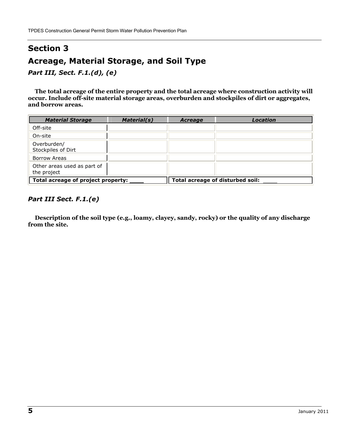## Section 3 Acreage, Material Storage, and Soil Type

Part III, Sect. F.1.(d), (e)

The total acreage of the entire property and the total acreage where construction activity will occur. Include off-site material storage areas, overburden and stockpiles of dirt or aggregates, and borrow areas.

| <b>Material Storage</b>                    | <b>Material(s)</b> | <b>Acreage</b>                   | Location |
|--------------------------------------------|--------------------|----------------------------------|----------|
| Off-site                                   |                    |                                  |          |
| On-site                                    |                    |                                  |          |
| Overburden/<br>Stockpiles of Dirt          |                    |                                  |          |
| Borrow Areas                               |                    |                                  |          |
| Other areas used as part of<br>the project |                    |                                  |          |
| Total acreage of project property:         |                    | Total acreage of disturbed soil: |          |

#### Part III Sect. F.1.(e)

Description of the soil type (e.g., loamy, clayey, sandy, rocky) or the quality of any discharge from the site.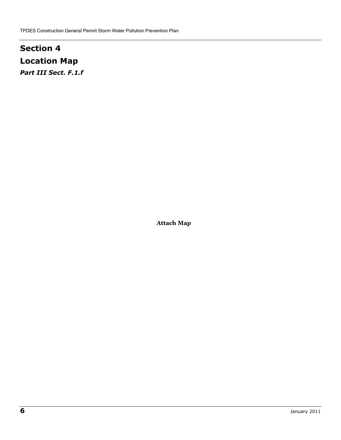## Section 4 Location Map Part III Sect. F.1.f

Attach Map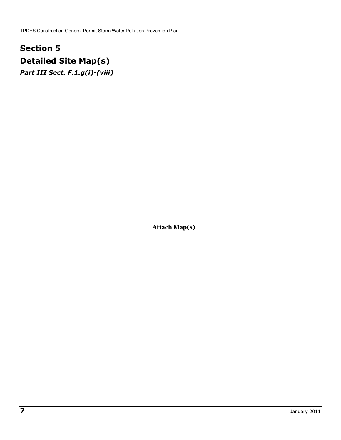## Section 5 Detailed Site Map(s)

Part III Sect. F.1.g(i)-(viii)

Attach Map(s)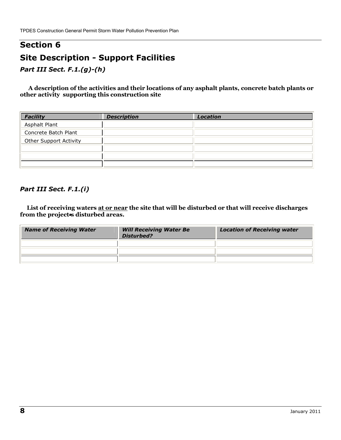## Section 6 Site Description - Support Facilities

Part III Sect. F.1.(g)-(h)

 A description of the activities and their locations of any asphalt plants, concrete batch plants or other activity supporting this construction site

| <b>Facility</b>               | <b>Description</b> | <b>Location</b> |
|-------------------------------|--------------------|-----------------|
| Asphalt Plant                 |                    |                 |
| Concrete Batch Plant          |                    |                 |
| <b>Other Support Activity</b> |                    |                 |
|                               |                    |                 |
|                               |                    |                 |
|                               |                    |                 |

#### Part III Sect. F.1.(i)

List of receiving waters at or near the site that will be disturbed or that will receive discharges from the project is disturbed areas.

| <b>Name of Receiving Water</b> | <b>Will Receiving Water Be</b><br><b>Disturbed?</b> | <b>Location of Receiving water</b> |
|--------------------------------|-----------------------------------------------------|------------------------------------|
|                                |                                                     |                                    |
|                                |                                                     |                                    |
|                                |                                                     |                                    |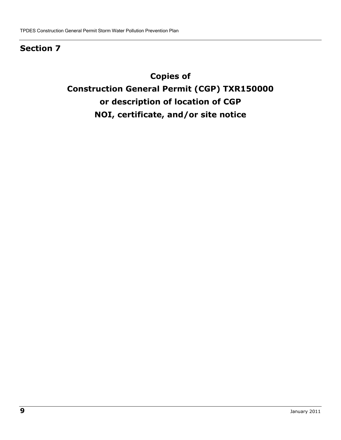### Section 7

## Copies of Construction General Permit (CGP) TXR150000 or description of location of CGP NOI, certificate, and/or site notice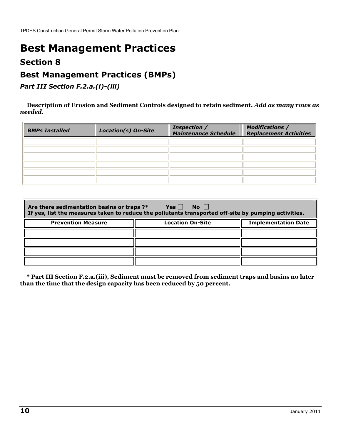## Best Management Practices

### Section 8

### Best Management Practices (BMPs)

Part III Section F.2.a.(i)-(iii)

Description of Erosion and Sediment Controls designed to retain sediment. Add as many rows as needed.

| <b>BMPs Installed</b> | <b>Location(s) On-Site</b> | <b>Inspection /</b><br><b>Maintenance Schedule</b> | <b>Modifications /</b><br><b>Replacement Activities</b> |
|-----------------------|----------------------------|----------------------------------------------------|---------------------------------------------------------|
|                       |                            |                                                    |                                                         |
|                       |                            |                                                    |                                                         |
|                       |                            |                                                    |                                                         |
|                       |                            |                                                    |                                                         |
|                       |                            |                                                    |                                                         |
|                       |                            |                                                    |                                                         |

| $Yes \Box$<br>$\overline{N}$ o $\Box$<br>Are there sedimentation basins or traps ?*<br>If yes, list the measures taken to reduce the pollutants transported off-site by pumping activities. |                         |                            |  |
|---------------------------------------------------------------------------------------------------------------------------------------------------------------------------------------------|-------------------------|----------------------------|--|
| <b>Prevention Measure</b>                                                                                                                                                                   | <b>Location On-Site</b> | <b>Implementation Date</b> |  |
|                                                                                                                                                                                             |                         |                            |  |
|                                                                                                                                                                                             |                         |                            |  |
|                                                                                                                                                                                             |                         |                            |  |
|                                                                                                                                                                                             |                         |                            |  |

\* Part III Section F.2.a.(iii), Sediment must be removed from sediment traps and basins no later than the time that the design capacity has been reduced by 50 percent.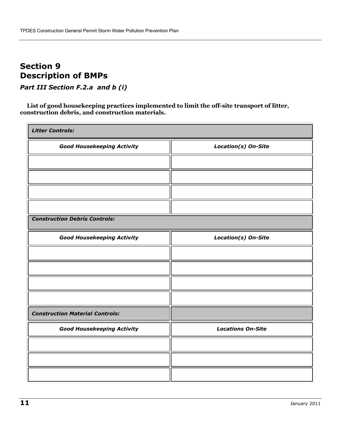### Section 9 Description of BMPs

Part III Section F.2.a and b (i)

List of good housekeeping practices implemented to limit the off-site transport of litter, construction debris, and construction materials.

| <b>Litter Controls:</b>                |                          |  |
|----------------------------------------|--------------------------|--|
| <b>Good Housekeeping Activity</b>      | Location(s) On-Site      |  |
|                                        |                          |  |
|                                        |                          |  |
|                                        |                          |  |
|                                        |                          |  |
| <b>Construction Debris Controls:</b>   |                          |  |
| <b>Good Housekeeping Activity</b>      | Location(s) On-Site      |  |
|                                        |                          |  |
|                                        |                          |  |
|                                        |                          |  |
|                                        |                          |  |
| <b>Construction Material Controls:</b> |                          |  |
| <b>Good Housekeeping Activity</b>      | <b>Locations On-Site</b> |  |
|                                        |                          |  |
|                                        |                          |  |
|                                        |                          |  |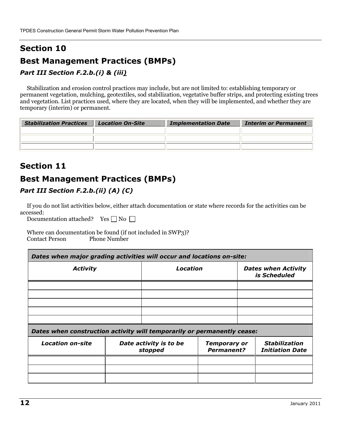## Section 10 Best Management Practices (BMPs)

#### Part III Section F.2.b.(i) & (iii)

Stabilization and erosion control practices may include, but are not limited to: establishing temporary or permanent vegetation, mulching, geotextiles, sod stabilization, vegetative buffer strips, and protecting existing trees and vegetation. List practices used, where they are located, when they will be implemented, and whether they are temporary (interim) or permanent.

| <b>Stabilization Practices</b> | <b>Location On-Site</b> | <b>Implementation Date</b> | <b>Interim or Permanent</b> |
|--------------------------------|-------------------------|----------------------------|-----------------------------|
|                                |                         |                            |                             |
|                                |                         |                            |                             |
|                                |                         |                            |                             |

### Section 11

### Best Management Practices (BMPs)

#### Part III Section F.2.b.(ii) (A) (C)

If you do not list activities below, either attach documentation or state where records for the activities can be accessed:

Documentation attached? Yes  $\Box$  No  $\Box$ 

 Where can documentation be found (if not included in SWP3)? Contact Person Phone Number

| Dates when major grading activities will occur and locations on-site:   |          |  |                                            |
|-------------------------------------------------------------------------|----------|--|--------------------------------------------|
| <b>Activity</b>                                                         | Location |  | <b>Dates when Activity</b><br>is Scheduled |
|                                                                         |          |  |                                            |
|                                                                         |          |  |                                            |
|                                                                         |          |  |                                            |
|                                                                         |          |  |                                            |
|                                                                         |          |  |                                            |
| Dates when construction activity will temporarily or permanently cease: |          |  |                                            |
|                                                                         |          |  |                                            |

| <b>Location on-site</b> | Date activity is to be<br>stopped | <b>Temporary or</b><br><b>Permanent?</b> | Stabilization<br><b>Initiation Date</b> |
|-------------------------|-----------------------------------|------------------------------------------|-----------------------------------------|
|                         |                                   |                                          |                                         |
|                         |                                   |                                          |                                         |
|                         |                                   |                                          |                                         |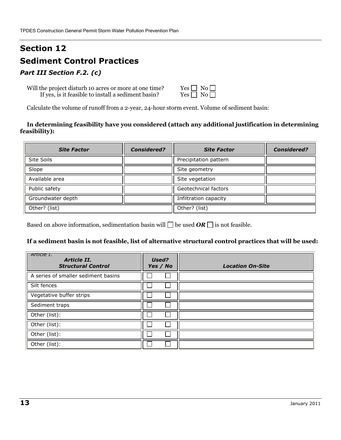## Section 12 Sediment Control Practices

#### Part III Section F.2. (c)

Will the project disturb 10 acres or more at one time? If yes, is it feasible to install a sediment basin?

| Yes $\Box$           | $No \Box$         |  |
|----------------------|-------------------|--|
| Yes $\mathsf \Gamma$ | $\rm No$ $\Gamma$ |  |

Calculate the volume of runoff from a 2-year, 24-hour storm event. Volume of sediment basin:

#### In determining feasibility have you considered (attach any additional justification in determining feasibility):

| <b>Site Factor</b> | <b>Considered?</b> | <b>Site Factor</b>    | <b>Considered?</b> |
|--------------------|--------------------|-----------------------|--------------------|
| <b>Site Soils</b>  |                    | Precipitation pattern |                    |
| Slope              |                    | Site geometry         |                    |
| Available area     |                    | Site vegetation       |                    |
| Public safety      |                    | Geotechnical factors  |                    |
| Groundwater depth  |                    | Infiltration capacity |                    |
| Other? (list)      |                    | Other? (list)         |                    |

Based on above information, sedimentation basin will  $\Box$  be used  $OR \Box$  is not feasible.

#### If a sediment basin is not feasible, list of alternative structural control practices that will be used:

| Article 1.<br>Article II.<br><b>Structural Control</b> | Used?<br>Yes / No | <b>Location On-Site</b> |
|--------------------------------------------------------|-------------------|-------------------------|
| A series of smaller sediment basins                    |                   |                         |
| Silt fences                                            |                   |                         |
| Vegetative buffer strips                               |                   |                         |
| Sediment traps                                         |                   |                         |
| Other (list):                                          |                   |                         |
| Other (list):                                          |                   |                         |
| Other (list):                                          |                   |                         |
| Other (list):                                          |                   |                         |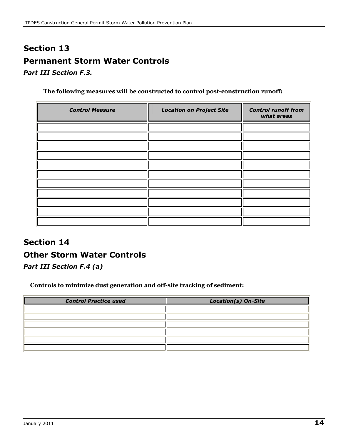## Section 13 Permanent Storm Water Controls

Part III Section F.3.

The following measures will be constructed to control post-construction runoff:

| <b>Control Measure</b> | <b>Location on Project Site</b> | <b>Control runoff from</b><br>what areas |
|------------------------|---------------------------------|------------------------------------------|
|                        |                                 |                                          |
|                        |                                 |                                          |
|                        |                                 |                                          |
|                        |                                 |                                          |
|                        |                                 |                                          |
|                        |                                 |                                          |
|                        |                                 |                                          |
|                        |                                 |                                          |
|                        |                                 |                                          |
|                        |                                 |                                          |
|                        |                                 |                                          |

## Section 14 Other Storm Water Controls

Part III Section F.4 (a)

Controls to minimize dust generation and off-site tracking of sediment:

| <b>Control Practice used</b> | Location(s) On-Site |
|------------------------------|---------------------|
|                              |                     |
|                              |                     |
|                              |                     |
|                              |                     |
|                              |                     |
|                              |                     |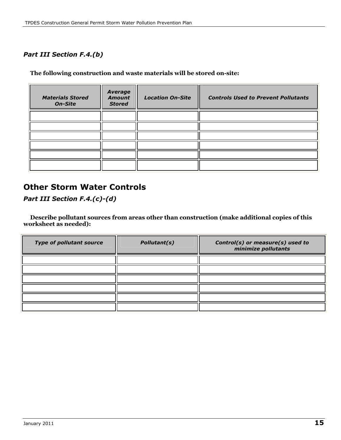#### Part III Section F.4.(b)

The following construction and waste materials will be stored on-site:

| <b>Materials Stored</b><br><b>On-Site</b> | <b>Average</b><br><b>Amount</b><br><b>Stored</b> | <b>Location On-Site</b> | <b>Controls Used to Prevent Pollutants</b> |
|-------------------------------------------|--------------------------------------------------|-------------------------|--------------------------------------------|
|                                           |                                                  |                         |                                            |
|                                           |                                                  |                         |                                            |
|                                           |                                                  |                         |                                            |
|                                           |                                                  |                         |                                            |
|                                           |                                                  |                         |                                            |
|                                           |                                                  |                         |                                            |

### Other Storm Water Controls

Part III Section F.4.(c)-(d)

Describe pollutant sources from areas other than construction (make additional copies of this worksheet as needed):

| <b>Type of pollutant source</b> | Pollutant(s) | Control(s) or measure(s) used to<br>minimize pollutants |
|---------------------------------|--------------|---------------------------------------------------------|
|                                 |              |                                                         |
|                                 |              |                                                         |
|                                 |              |                                                         |
|                                 |              |                                                         |
|                                 |              |                                                         |
|                                 |              |                                                         |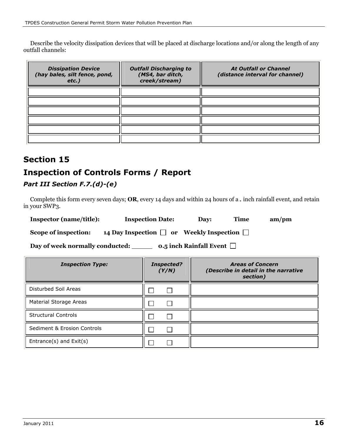Describe the velocity dissipation devices that will be placed at discharge locations and/or along the length of any outfall channels:

| <b>Dissipation Device</b><br>(hay bales, silt fence, pond,<br>$etc.$ ) | <b>Outfall Discharging to</b><br>(MS4, bar ditch,<br>creek/stream) | <b>At Outfall or Channel</b><br>(distance interval for channel) |
|------------------------------------------------------------------------|--------------------------------------------------------------------|-----------------------------------------------------------------|
|                                                                        |                                                                    |                                                                 |
|                                                                        |                                                                    |                                                                 |
|                                                                        |                                                                    |                                                                 |
|                                                                        |                                                                    |                                                                 |
|                                                                        |                                                                    |                                                                 |
|                                                                        |                                                                    |                                                                 |

## Section 15 Inspection of Controls Forms / Report

#### Part III Section F.7.(d)-(e)

Complete this form every seven days; OR, every 14 days and within 24 hours of a  $\blacksquare$  inch rainfall event, and retain in your SWP3.

Inspector (name/title): Inspection Date: Day: Time am/pm

Scope of inspection: 14 Day Inspection  $\Box$  or Weekly Inspection  $\Box$ 

Day of week normally conducted:  $\qquad \qquad$  0.5 inch Rainfall Event  $\Box$ 

| <b>Inspection Type:</b>     | <b>Inspected?</b><br>(Y/N) | <b>Areas of Concern</b><br>(Describe in detail in the narrative<br>section) |
|-----------------------------|----------------------------|-----------------------------------------------------------------------------|
| Disturbed Soil Areas        |                            |                                                                             |
| Material Storage Areas      |                            |                                                                             |
| <b>Structural Controls</b>  |                            |                                                                             |
| Sediment & Erosion Controls |                            |                                                                             |
| Entrance(s) and Exit(s)     |                            |                                                                             |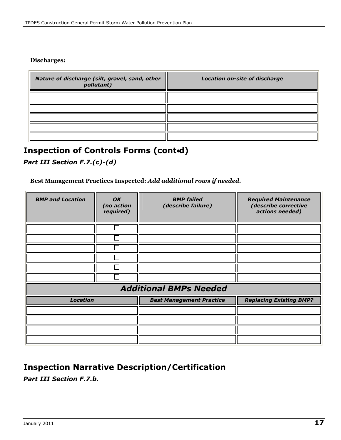#### Discharges:

| Nature of discharge (silt, gravel, sand, other<br>pollutant) | <b>Location on-site of discharge</b> |
|--------------------------------------------------------------|--------------------------------------|
|                                                              |                                      |
|                                                              |                                      |
|                                                              |                                      |
|                                                              |                                      |
|                                                              |                                      |

## Inspection of Controls Forms (cont=d)

Part III Section F.7.(c)-(d)

#### Best Management Practices Inspected: Add additional rows if needed.

| <b>BMP and Location</b> | OK<br>(no action<br>required) | <b>BMP</b> failed<br>(describe failure) | <b>Required Maintenance</b><br>(describe corrective<br>actions needed) |
|-------------------------|-------------------------------|-----------------------------------------|------------------------------------------------------------------------|
|                         |                               |                                         |                                                                        |
|                         |                               |                                         |                                                                        |
|                         |                               |                                         |                                                                        |
|                         |                               |                                         |                                                                        |
|                         |                               |                                         |                                                                        |
|                         |                               |                                         |                                                                        |
|                         |                               | <b>Additional BMPs Needed</b>           |                                                                        |
| <b>Location</b>         |                               | <b>Best Management Practice</b>         | <b>Replacing Existing BMP?</b>                                         |
|                         |                               |                                         |                                                                        |
|                         |                               |                                         |                                                                        |
|                         |                               |                                         |                                                                        |
|                         |                               |                                         |                                                                        |

### Inspection Narrative Description/Certification

Part III Section F.7.b.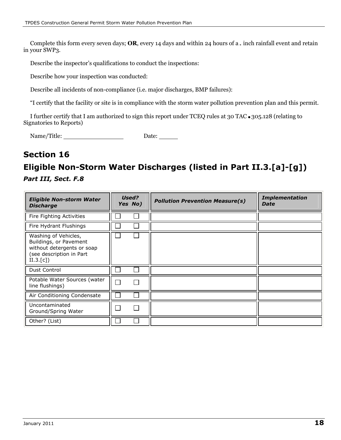Complete this form every seven days; OR, every 14 days and within 24 hours of a  $\Delta$  inch rainfall event and retain in your SWP3.

Describe the inspector's qualifications to conduct the inspections:

Describe how your inspection was conducted:

Describe all incidents of non-compliance (i.e. major discharges, BMP failures):

"I certify that the facility or site is in compliance with the storm water pollution prevention plan and this permit.

I further certify that I am authorized to sign this report under TCEQ rules at 30 TAC  $\bullet$  305.128 (relating to Signatories to Reports)

Name/Title: Date:

### Section 16

## Eligible Non-Storm Water Discharges (listed in Part II.3.[a]-[g])

Part III, Sect. F.8

| <b>Eligible Non-storm Water</b><br><b>Discharge</b>                                                                   | Used?<br>Yes No) | <b>Pollution Prevention Measure(s)</b> | <b>Implementation</b><br><b>Date</b> |
|-----------------------------------------------------------------------------------------------------------------------|------------------|----------------------------------------|--------------------------------------|
| Fire Fighting Activities                                                                                              |                  |                                        |                                      |
| Fire Hydrant Flushings                                                                                                |                  |                                        |                                      |
| Washing of Vehicles,<br>Buildings, or Pavement<br>without detergents or soap<br>(see description in Part<br>II.3.[c]) |                  |                                        |                                      |
| Dust Control                                                                                                          |                  |                                        |                                      |
| Potable Water Sources (water<br>line flushings)                                                                       |                  |                                        |                                      |
| Air Conditioning Condensate                                                                                           |                  |                                        |                                      |
| Uncontaminated<br>Ground/Spring Water                                                                                 |                  |                                        |                                      |
| Other? (List)                                                                                                         |                  |                                        |                                      |